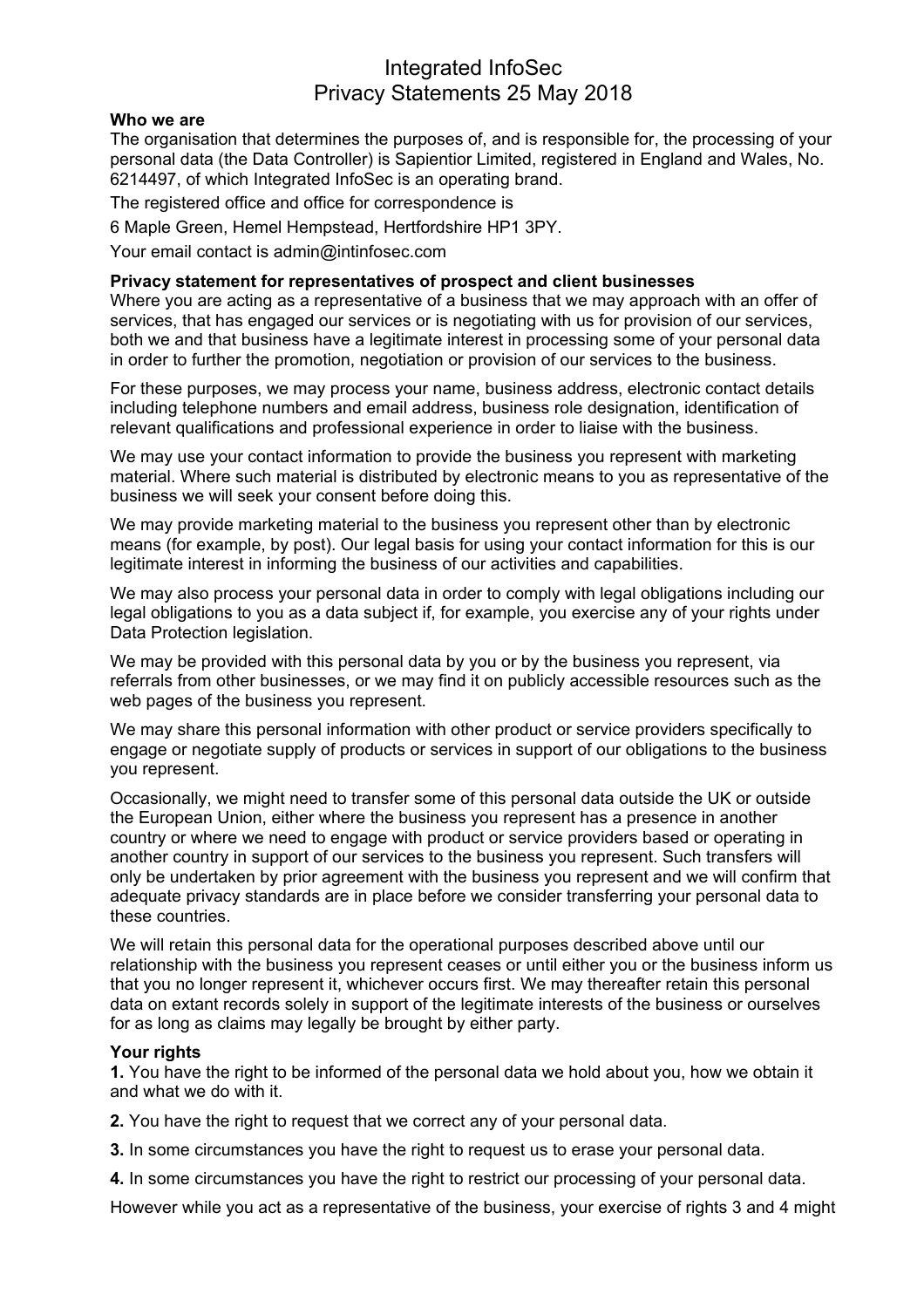## Integrated InfoSec Privacy Statements 25 May 2018

### **Who we are**

The organisation that determines the purposes of, and is responsible for, the processing of your personal data (the Data Controller) is Sapientior Limited, registered in England and Wales, No. 6214497, of which Integrated InfoSec is an operating brand.

The registered office and office for correspondence is

6 Maple Green, Hemel Hempstead, Hertfordshire HP1 3PY.

Your email contact is admin@intinfosec.com

### **Privacy statement for representatives of prospect and client businesses**

Where you are acting as a representative of a business that we may approach with an offer of services, that has engaged our services or is negotiating with us for provision of our services, both we and that business have a legitimate interest in processing some of your personal data in order to further the promotion, negotiation or provision of our services to the business.

For these purposes, we may process your name, business address, electronic contact details including telephone numbers and email address, business role designation, identification of relevant qualifications and professional experience in order to liaise with the business.

We may use your contact information to provide the business you represent with marketing material. Where such material is distributed by electronic means to you as representative of the business we will seek your consent before doing this.

We may provide marketing material to the business you represent other than by electronic means (for example, by post). Our legal basis for using your contact information for this is our legitimate interest in informing the business of our activities and capabilities.

We may also process your personal data in order to comply with legal obligations including our legal obligations to you as a data subject if, for example, you exercise any of your rights under Data Protection legislation.

We may be provided with this personal data by you or by the business you represent, via referrals from other businesses, or we may find it on publicly accessible resources such as the web pages of the business you represent.

We may share this personal information with other product or service providers specifically to engage or negotiate supply of products or services in support of our obligations to the business you represent.

Occasionally, we might need to transfer some of this personal data outside the UK or outside the European Union, either where the business you represent has a presence in another country or where we need to engage with product or service providers based or operating in another country in support of our services to the business you represent. Such transfers will only be undertaken by prior agreement with the business you represent and we will confirm that adequate privacy standards are in place before we consider transferring your personal data to these countries.

We will retain this personal data for the operational purposes described above until our relationship with the business you represent ceases or until either you or the business inform us that you no longer represent it, whichever occurs first. We may thereafter retain this personal data on extant records solely in support of the legitimate interests of the business or ourselves for as long as claims may legally be brought by either party.

## **Your rights**

**1.** You have the right to be informed of the personal data we hold about you, how we obtain it and what we do with it.

**2.** You have the right to request that we correct any of your personal data.

**3.** In some circumstances you have the right to request us to erase your personal data.

**4.** In some circumstances you have the right to restrict our processing of your personal data.

However while you act as a representative of the business, your exercise of rights 3 and 4 might